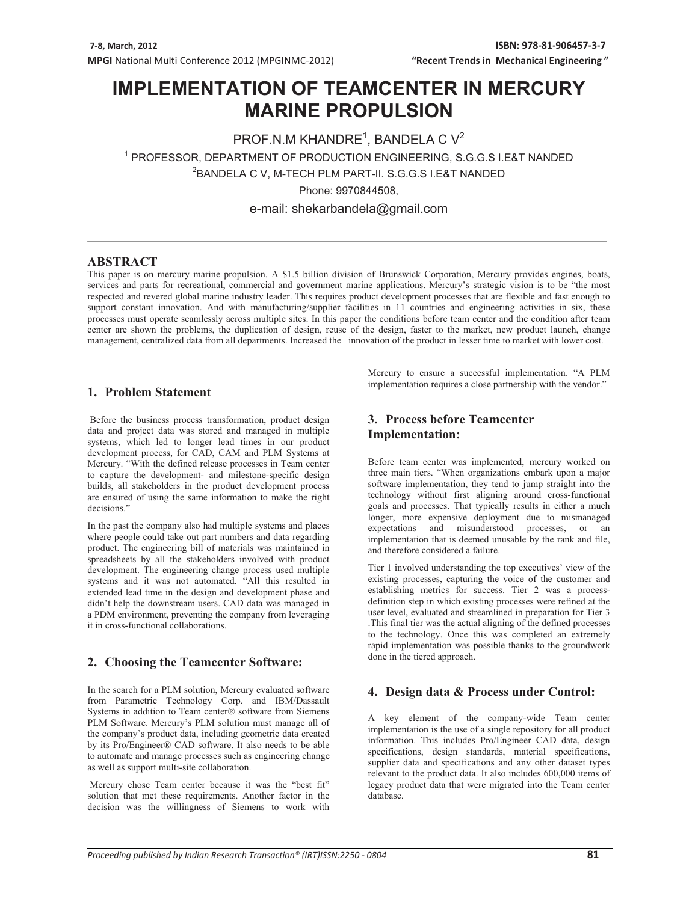MPGI National Multi Conference 2012 (MPGINMC-2012)

"Recent Trends in Mechanical Engineering"

# **IMPLEMENTATION OF TEAMCENTER IN MERCURY MARINE PROPULSION MARINE PROPULSION**

PROF.N.M KHANDRE<sup>1</sup>, BANDELA C  $V^2$ 

1 PROFESSOR, DEPARTMENT OF PRODUCTION ENGINEERING, S.G.G.S I.E&T NANDED

2 BANDELA C V, M-TECH PLM PART-II. S.G.G.S I.E&T NANDED

Phone: 9970844508,

e-mail: shekarbandela@gmail.com

#### **ABSTRACT**

This paper is on mercury marine propulsion. A \$1.5 billion division of Brunswick Corporation, Mercury provides engines, boats, services and parts for recreational, commercial and government marine applications. Mercury's strategic vision is to be "the most respected and revered global marine industry leader. This requires product development processes that are flexible and fast enough to support constant innovation. And with manufacturing/supplier facilities in 11 countries and engineering activities in six, these processes must operate seamlessly across multiple sites. In this paper the conditions before team center and the condition after team center are shown the problems, the duplication of design, reuse of the design, faster to the market, new product launch, change management, centralized data from all departments. Increased the innovation of the product in lesser time to market with lower cost.

## **1. Problem Statement**

 Before the business process transformation, product design data and project data was stored and managed in multiple systems, which led to longer lead times in our product development process, for CAD, CAM and PLM Systems at Mercury. "With the defined release processes in Team center to capture the development- and milestone-specific design builds, all stakeholders in the product development process are ensured of using the same information to make the right decisions."

In the past the company also had multiple systems and places where people could take out part numbers and data regarding product. The engineering bill of materials was maintained in spreadsheets by all the stakeholders involved with product development. The engineering change process used multiple systems and it was not automated. "All this resulted in extended lead time in the design and development phase and didn't help the downstream users. CAD data was managed in a PDM environment, preventing the company from leveraging it in cross-functional collaborations.

#### **2. Choosing the Teamcenter Software:**

In the search for a PLM solution, Mercury evaluated software from Parametric Technology Corp. and IBM/Dassault Systems in addition to Team center® software from Siemens PLM Software. Mercury's PLM solution must manage all of the company's product data, including geometric data created by its Pro/Engineer® CAD software. It also needs to be able to automate and manage processes such as engineering change as well as support multi-site collaboration.

 Mercury chose Team center because it was the "best fit" solution that met these requirements. Another factor in the decision was the willingness of Siemens to work with

Mercury to ensure a successful implementation. "A PLM implementation requires a close partnership with the vendor."

## **3. Process before Teamcenter Implementation:**

Before team center was implemented, mercury worked on three main tiers. "When organizations embark upon a major software implementation, they tend to jump straight into the technology without first aligning around cross-functional goals and processes. That typically results in either a much longer, more expensive deployment due to mismanaged expectations and misunderstood processes, or an implementation that is deemed unusable by the rank and file, and therefore considered a failure.

Tier 1 involved understanding the top executives' view of the existing processes, capturing the voice of the customer and establishing metrics for success. Tier 2 was a processdefinition step in which existing processes were refined at the user level, evaluated and streamlined in preparation for Tier 3 .This final tier was the actual aligning of the defined processes to the technology. Once this was completed an extremely rapid implementation was possible thanks to the groundwork done in the tiered approach.

## **4. Design data & Process under Control:**

A key element of the company-wide Team center implementation is the use of a single repository for all product information. This includes Pro/Engineer CAD data, design specifications, design standards, material specifications, supplier data and specifications and any other dataset types relevant to the product data. It also includes 600,000 items of legacy product data that were migrated into the Team center database.